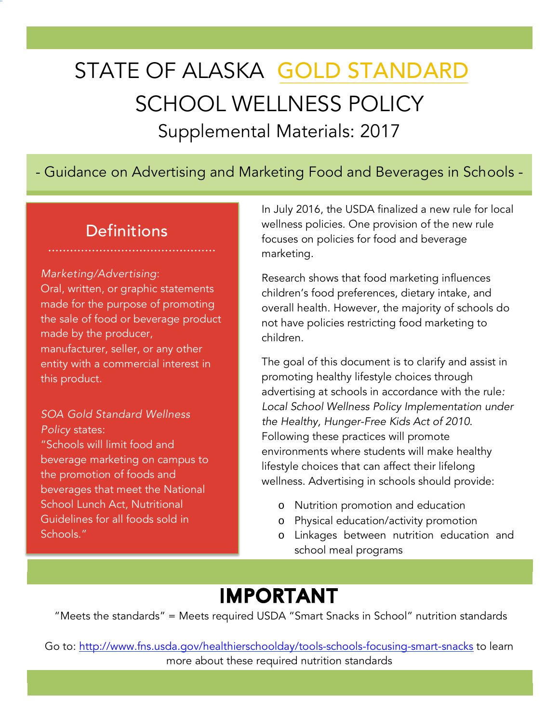# STATE OF ALASKA GOLD STANDARD SCHOOL WELLNESS POLICY Supplemental Materials: 2017

### 5 - Guidance on Advertising and Marketing Food and Beverages in Schools -

### **Definitions**

#### *Marketing/Advertising*:

Oral, written, or graphic statements made for the purpose of promoting the sale of food or beverage product made by the producer, manufacturer, seller, or any other entity with a commercial interest in this product.

### *SOA Gold Standard Wellness Policy* states:

"Schools will limit food and beverage marketing on campus to the promotion of foods and beverages that meet the National School Lunch Act, Nutritional Guidelines for all foods sold in Schools."

In July 2016, the USDA finalized a new rule for local wellness policies. One provision of the new rule focuses on policies for food and beverage marketing.

Research shows that food marketing influences children's food preferences, dietary intake, and overall health. However, the majority of schools do not have policies restricting food marketing to children.

The goal of this document is to clarify and assist in promoting healthy lifestyle choices through advertising at schools in accordance with the rule*: Local School Wellness Policy Implementation under the Healthy, Hunger-Free Kids Act of 2010*. Following these practices will promote environments where students will make healthy lifestyle choices that can affect their lifelong wellness. Advertising in schools should provide:

- o Nutrition promotion and education
- o Physical education/activity promotion
- o Linkages between nutrition education and school meal programs

### IMPORTANT

"Meets the standards" = Meets required USDA "Smart Snacks in School" nutrition standards

Go to: http://www.fns.usda.gov/healthierschoolday/tools-schools-focusing-smart-snacks to learn more about these required nutrition standards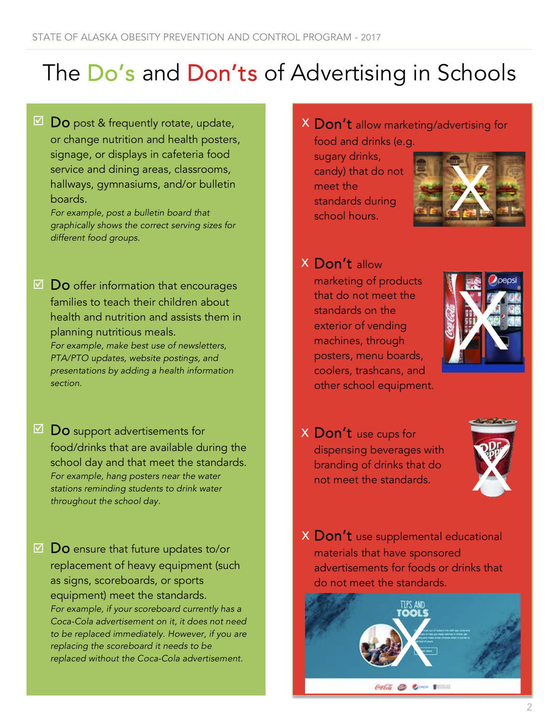# The Do's and Don'ts of Advertising in Schools

Do post & frequently rotate, update, or change nutrition and health posters, signage, or displays in cafeteria food service and dining areas, classrooms, hallways, gymnasiums, and/or bulletin boards.  $\boxtimes$ 

*For example, post a bulletin board that graphically shows the correct serving sizes for different food groups.*

 $\boxtimes$   $\textsf{Do}$  offer information that encourages families to teach their children about health and nutrition and assists them in planning nutritious meals.

*For example, make best use of newsletters, PTA/PTO updates, website postings, and presentations by adding a health information section.*

- Do support advertisements for food/drinks that are available during the school day and that meet the standards. *For example, hang posters near the water stations reminding students to drink water throughout the school day.*  $\boxtimes$  ,
- $\boxtimes$   $\, {\sf Do}$  ensure that future updates to/or replacement of heavy equipment (such as signs, scoreboards, or sports equipment) meet the standards. *For example, if your scoreboard currently has a Coca-Cola advertisement on it, it does not need to be replaced immediately. However, if you are replacing the scoreboard it needs to be replaced without the Coca-Cola advertisement.*

 $\times$   $\mathsf{Don't}$  allow marketing/advertising for

food and drinks (e.g. sugary drinks, candy) that do not meet the standards during school hours.



### $X$   $\mathsf{Don't}$  allow

marketing of products that do not meet the standards on the exterior of vending machines, through posters, menu boards, coolers, trashcans, and other school equipment.



 ${\mathsf X}$   $\operatorname{\mathsf{Don'}}{\mathsf t}$  use cups for dispensing beverages with branding of drinks that do not meet the standards.



 $\times$   $\textsf{Don't}$  use supplemental educational materials that have sponsored advertisements for foods or drinks that do not meet the standards.

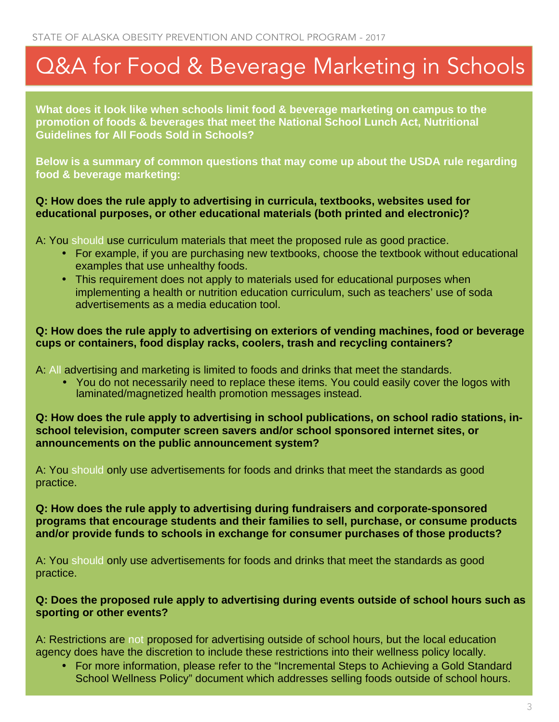## Q&A for Food & Beverage Marketing in Schools

**What does it look like when schools limit food & beverage marketing on campus to the promotion of foods & beverages that meet the National School Lunch Act, Nutritional Guidelines for All Foods Sold in Schools?**

**Below is a summary of common questions that may come up about the USDA rule regarding food & beverage marketing:** 

#### **Q: How does the rule apply to advertising in curricula, textbooks, websites used for educational purposes, or other educational materials (both printed and electronic)?**

A: You should use curriculum materials that meet the proposed rule as good practice.

- For example, if you are purchasing new textbooks, choose the textbook without educational examples that use unhealthy foods.
- This requirement does not apply to materials used for educational purposes when implementing a health or nutrition education curriculum, such as teachers' use of soda advertisements as a media education tool.

### **Q: How does the rule apply to advertising on exteriors of vending machines, food or beverage cups or containers, food display racks, coolers, trash and recycling containers?**

A: All advertising and marketing is limited to foods and drinks that meet the standards.

• You do not necessarily need to replace these items. You could easily cover the logos with laminated/magnetized health promotion messages instead.

#### **Q: How does the rule apply to advertising in school publications, on school radio stations, inschool television, computer screen savers and/or school sponsored internet sites, or announcements on the public announcement system?**

A: You should only use advertisements for foods and drinks that meet the standards as good practice.

### **Q: How does the rule apply to advertising during fundraisers and corporate-sponsored programs that encourage students and their families to sell, purchase, or consume products and/or provide funds to schools in exchange for consumer purchases of those products?**

A: You should only use advertisements for foods and drinks that meet the standards as good practice.

#### **Q: Does the proposed rule apply to advertising during events outside of school hours such as sporting or other events?**

A: Restrictions are not proposed for advertising outside of school hours, but the local education agency does have the discretion to include these restrictions into their wellness policy locally.

• For more information, please refer to the "Incremental Steps to Achieving a Gold Standard School Wellness Policy" document which addresses selling foods outside of school hours.